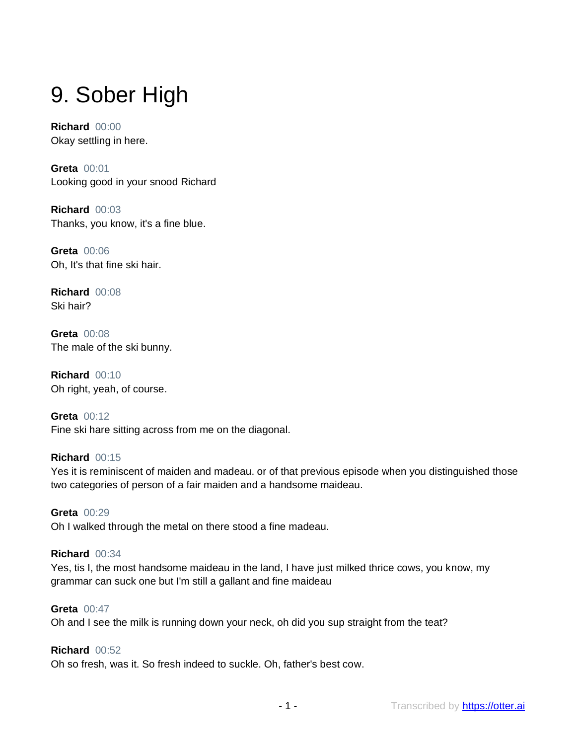# 9. Sober High

**Richard** 00:00 Okay settling in here.

**Greta** 00:01 Looking good in your snood Richard

**Richard** 00:03 Thanks, you know, it's a fine blue.

**Greta** 00:06 Oh, It's that fine ski hair.

**Richard** 00:08 Ski hair?

**Greta** 00:08 The male of the ski bunny.

**Richard** 00:10 Oh right, yeah, of course.

**Greta** 00:12 Fine ski hare sitting across from me on the diagonal.

# **Richard** 00:15

Yes it is reminiscent of maiden and madeau. or of that previous episode when you distinguished those two categories of person of a fair maiden and a handsome maideau.

**Greta** 00:29 Oh I walked through the metal on there stood a fine madeau.

# **Richard** 00:34

Yes, tis I, the most handsome maideau in the land, I have just milked thrice cows, you know, my grammar can suck one but I'm still a gallant and fine maideau

## **Greta** 00:47

Oh and I see the milk is running down your neck, oh did you sup straight from the teat?

# **Richard** 00:52

Oh so fresh, was it. So fresh indeed to suckle. Oh, father's best cow.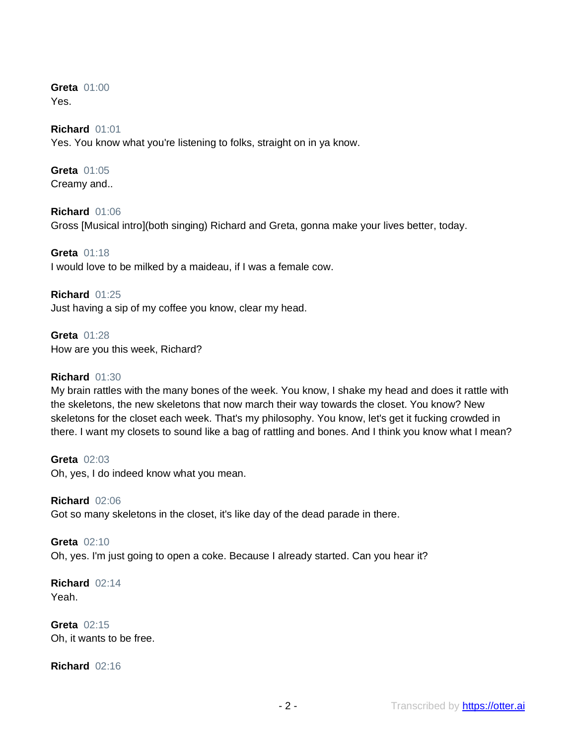**Greta** 01:00 Yes.

## **Richard** 01:01

Yes. You know what you're listening to folks, straight on in ya know.

## **Greta** 01:05 Creamy and..

# **Richard** 01:06

Gross [Musical intro](both singing) Richard and Greta, gonna make your lives better, today.

**Greta** 01:18 I would love to be milked by a maideau, if I was a female cow.

**Richard** 01:25 Just having a sip of my coffee you know, clear my head.

**Greta** 01:28 How are you this week, Richard?

## **Richard** 01:30

My brain rattles with the many bones of the week. You know, I shake my head and does it rattle with the skeletons, the new skeletons that now march their way towards the closet. You know? New skeletons for the closet each week. That's my philosophy. You know, let's get it fucking crowded in there. I want my closets to sound like a bag of rattling and bones. And I think you know what I mean?

**Greta** 02:03 Oh, yes, I do indeed know what you mean.

**Richard** 02:06 Got so many skeletons in the closet, it's like day of the dead parade in there.

**Greta** 02:10 Oh, yes. I'm just going to open a coke. Because I already started. Can you hear it?

**Richard** 02:14 Yeah.

**Greta** 02:15 Oh, it wants to be free.

**Richard** 02:16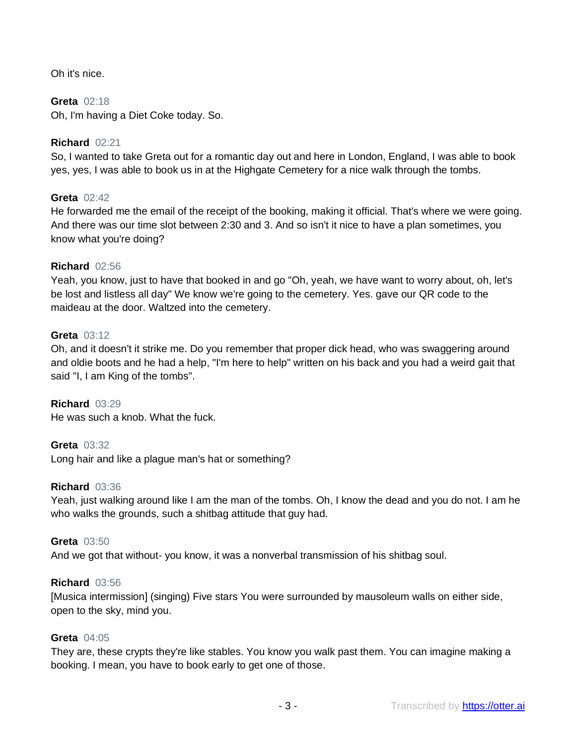Oh it's nice.

# **Greta** 02:18

Oh, I'm having a Diet Coke today. So.

# **Richard** 02:21

So, I wanted to take Greta out for a romantic day out and here in London, England, I was able to book yes, yes, I was able to book us in at the Highgate Cemetery for a nice walk through the tombs.

## **Greta** 02:42

He forwarded me the email of the receipt of the booking, making it official. That's where we were going. And there was our time slot between 2:30 and 3. And so isn't it nice to have a plan sometimes, you know what you're doing?

## **Richard** 02:56

Yeah, you know, just to have that booked in and go "Oh, yeah, we have want to worry about, oh, let's be lost and listless all day" We know we're going to the cemetery. Yes. gave our QR code to the maideau at the door. Waltzed into the cemetery.

## **Greta** 03:12

Oh, and it doesn't it strike me. Do you remember that proper dick head, who was swaggering around and oldie boots and he had a help, "I'm here to help" written on his back and you had a weird gait that said "I, I am King of the tombs".

**Richard** 03:29 He was such a knob. What the fuck.

# **Greta** 03:32

Long hair and like a plague man's hat or something?

## **Richard** 03:36

Yeah, just walking around like I am the man of the tombs. Oh, I know the dead and you do not. I am he who walks the grounds, such a shitbag attitude that guy had.

#### **Greta** 03:50

And we got that without- you know, it was a nonverbal transmission of his shitbag soul.

#### **Richard** 03:56

[Musica intermission] (singing) Five stars You were surrounded by mausoleum walls on either side, open to the sky, mind you.

# **Greta** 04:05

They are, these crypts they're like stables. You know you walk past them. You can imagine making a booking. I mean, you have to book early to get one of those.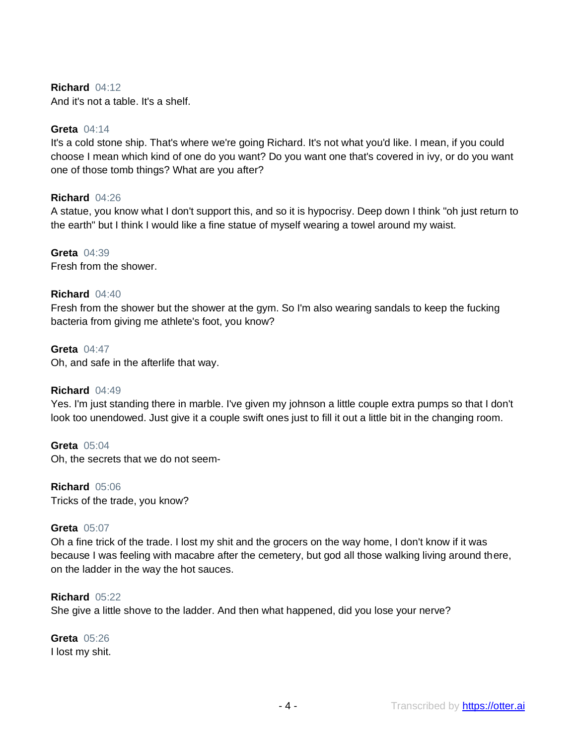# **Richard** 04:12

And it's not a table. It's a shelf.

## **Greta** 04:14

It's a cold stone ship. That's where we're going Richard. It's not what you'd like. I mean, if you could choose I mean which kind of one do you want? Do you want one that's covered in ivy, or do you want one of those tomb things? What are you after?

# **Richard** 04:26

A statue, you know what I don't support this, and so it is hypocrisy. Deep down I think "oh just return to the earth" but I think I would like a fine statue of myself wearing a towel around my waist.

# **Greta** 04:39

Fresh from the shower.

# **Richard** 04:40

Fresh from the shower but the shower at the gym. So I'm also wearing sandals to keep the fucking bacteria from giving me athlete's foot, you know?

#### **Greta** 04:47

Oh, and safe in the afterlife that way.

#### **Richard** 04:49

Yes. I'm just standing there in marble. I've given my johnson a little couple extra pumps so that I don't look too unendowed. Just give it a couple swift ones just to fill it out a little bit in the changing room.

#### **Greta** 05:04

Oh, the secrets that we do not seem-

**Richard** 05:06 Tricks of the trade, you know?

# **Greta** 05:07

Oh a fine trick of the trade. I lost my shit and the grocers on the way home, I don't know if it was because I was feeling with macabre after the cemetery, but god all those walking living around there, on the ladder in the way the hot sauces.

#### **Richard** 05:22

She give a little shove to the ladder. And then what happened, did you lose your nerve?

# **Greta** 05:26 I lost my shit.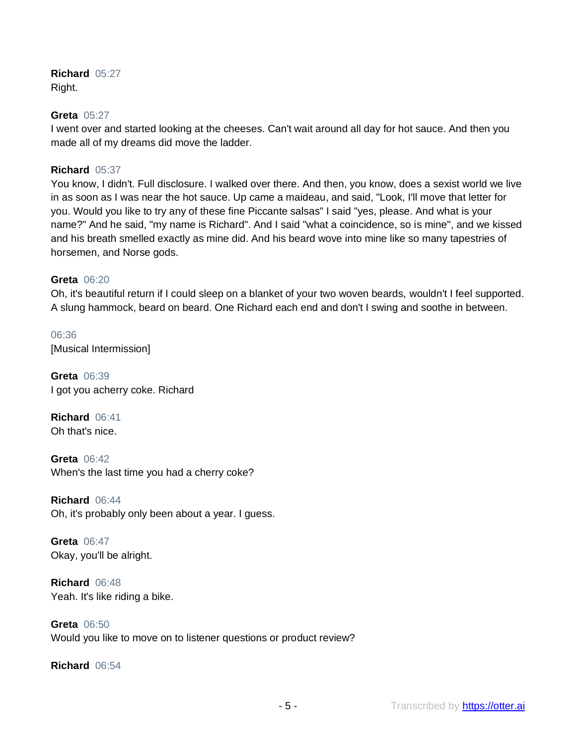**Richard** 05:27 Right.

## **Greta** 05:27

I went over and started looking at the cheeses. Can't wait around all day for hot sauce. And then you made all of my dreams did move the ladder.

# **Richard** 05:37

You know, I didn't. Full disclosure. I walked over there. And then, you know, does a sexist world we live in as soon as I was near the hot sauce. Up came a maideau, and said, "Look, I'll move that letter for you. Would you like to try any of these fine Piccante salsas" I said "yes, please. And what is your name?" And he said, "my name is Richard". And I said "what a coincidence, so is mine", and we kissed and his breath smelled exactly as mine did. And his beard wove into mine like so many tapestries of horsemen, and Norse gods.

# **Greta** 06:20

Oh, it's beautiful return if I could sleep on a blanket of your two woven beards, wouldn't I feel supported. A slung hammock, beard on beard. One Richard each end and don't I swing and soothe in between.

06:36 [Musical Intermission]

**Greta** 06:39 I got you acherry coke. Richard

**Richard** 06:41 Oh that's nice.

**Greta** 06:42 When's the last time you had a cherry coke?

**Richard** 06:44 Oh, it's probably only been about a year. I guess.

**Greta** 06:47 Okay, you'll be alright.

**Richard** 06:48 Yeah. It's like riding a bike.

**Greta** 06:50 Would you like to move on to listener questions or product review?

**Richard** 06:54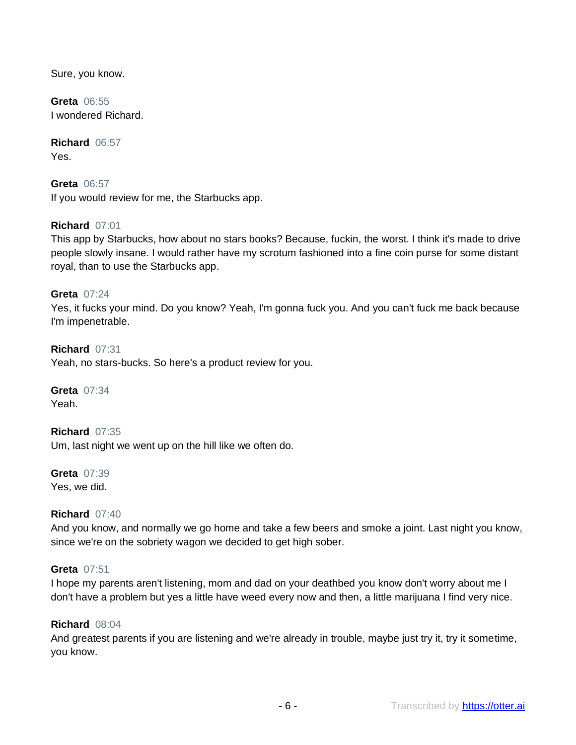Sure, you know.

**Greta** 06:55 I wondered Richard.

**Richard** 06:57 Yes.

**Greta** 06:57 If you would review for me, the Starbucks app.

# **Richard** 07:01

This app by Starbucks, how about no stars books? Because, fuckin, the worst. I think it's made to drive people slowly insane. I would rather have my scrotum fashioned into a fine coin purse for some distant royal, than to use the Starbucks app.

# **Greta** 07:24

Yes, it fucks your mind. Do you know? Yeah, I'm gonna fuck you. And you can't fuck me back because I'm impenetrable.

## **Richard** 07:31

Yeah, no stars-bucks. So here's a product review for you.

**Greta** 07:34 Yeah.

**Richard** 07:35 Um, last night we went up on the hill like we often do.

**Greta** 07:39 Yes, we did.

# **Richard** 07:40

And you know, and normally we go home and take a few beers and smoke a joint. Last night you know, since we're on the sobriety wagon we decided to get high sober.

#### **Greta** 07:51

I hope my parents aren't listening, mom and dad on your deathbed you know don't worry about me I don't have a problem but yes a little have weed every now and then, a little marijuana I find very nice.

#### **Richard** 08:04

And greatest parents if you are listening and we're already in trouble, maybe just try it, try it sometime, you know.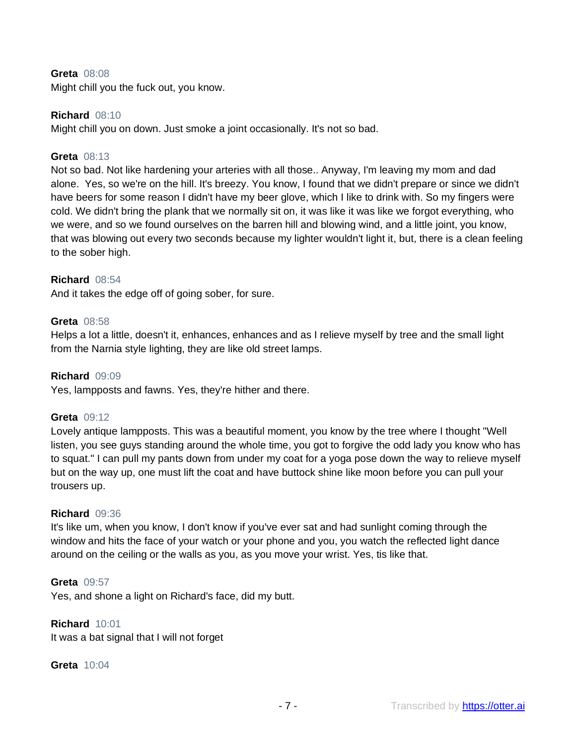## **Greta** 08:08

Might chill you the fuck out, you know.

## **Richard** 08:10

Might chill you on down. Just smoke a joint occasionally. It's not so bad.

## **Greta** 08:13

Not so bad. Not like hardening your arteries with all those.. Anyway, I'm leaving my mom and dad alone. Yes, so we're on the hill. It's breezy. You know, I found that we didn't prepare or since we didn't have beers for some reason I didn't have my beer glove, which I like to drink with. So my fingers were cold. We didn't bring the plank that we normally sit on, it was like it was like we forgot everything, who we were, and so we found ourselves on the barren hill and blowing wind, and a little joint, you know, that was blowing out every two seconds because my lighter wouldn't light it, but, there is a clean feeling to the sober high.

## **Richard** 08:54

And it takes the edge off of going sober, for sure.

## **Greta** 08:58

Helps a lot a little, doesn't it, enhances, enhances and as I relieve myself by tree and the small light from the Narnia style lighting, they are like old street lamps.

#### **Richard** 09:09

Yes, lampposts and fawns. Yes, they're hither and there.

#### **Greta** 09:12

Lovely antique lampposts. This was a beautiful moment, you know by the tree where I thought "Well listen, you see guys standing around the whole time, you got to forgive the odd lady you know who has to squat." I can pull my pants down from under my coat for a yoga pose down the way to relieve myself but on the way up, one must lift the coat and have buttock shine like moon before you can pull your trousers up.

#### **Richard** 09:36

It's like um, when you know, I don't know if you've ever sat and had sunlight coming through the window and hits the face of your watch or your phone and you, you watch the reflected light dance around on the ceiling or the walls as you, as you move your wrist. Yes, tis like that.

## **Greta** 09:57

Yes, and shone a light on Richard's face, did my butt.

#### **Richard** 10:01

It was a bat signal that I will not forget

#### **Greta** 10:04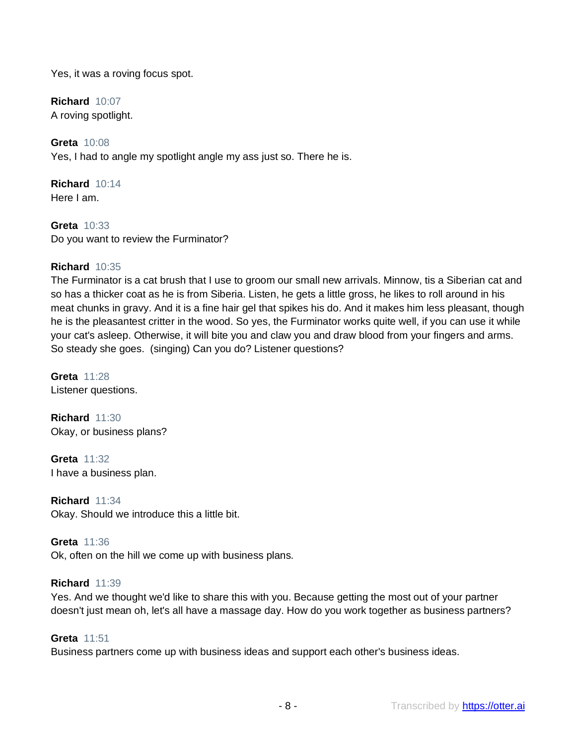Yes, it was a roving focus spot.

**Richard** 10:07 A roving spotlight.

**Greta** 10:08 Yes, I had to angle my spotlight angle my ass just so. There he is.

**Richard** 10:14 Here I am.

**Greta** 10:33 Do you want to review the Furminator?

# **Richard** 10:35

The Furminator is a cat brush that I use to groom our small new arrivals. Minnow, tis a Siberian cat and so has a thicker coat as he is from Siberia. Listen, he gets a little gross, he likes to roll around in his meat chunks in gravy. And it is a fine hair gel that spikes his do. And it makes him less pleasant, though he is the pleasantest critter in the wood. So yes, the Furminator works quite well, if you can use it while your cat's asleep. Otherwise, it will bite you and claw you and draw blood from your fingers and arms. So steady she goes. (singing) Can you do? Listener questions?

**Greta** 11:28 Listener questions.

**Richard** 11:30 Okay, or business plans?

**Greta** 11:32 I have a business plan.

**Richard** 11:34 Okay. Should we introduce this a little bit.

**Greta** 11:36 Ok, often on the hill we come up with business plans.

# **Richard** 11:39

Yes. And we thought we'd like to share this with you. Because getting the most out of your partner doesn't just mean oh, let's all have a massage day. How do you work together as business partners?

# **Greta** 11:51

Business partners come up with business ideas and support each other's business ideas.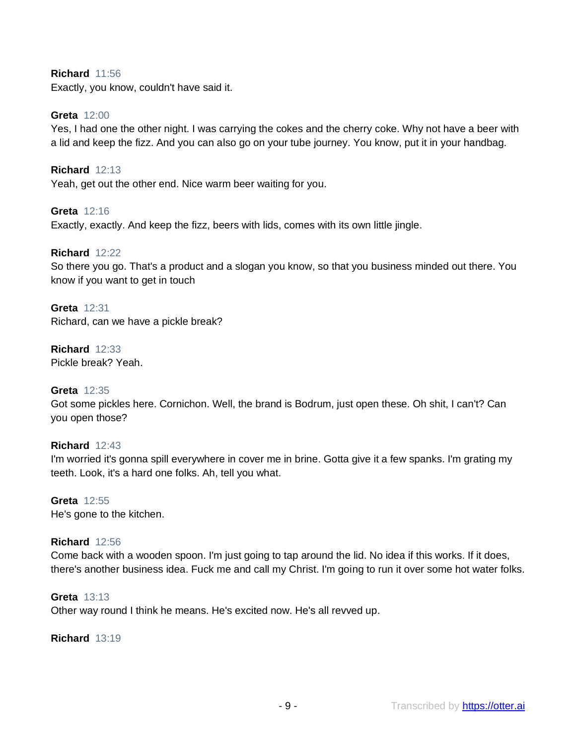# **Richard** 11:56

Exactly, you know, couldn't have said it.

## **Greta** 12:00

Yes, I had one the other night. I was carrying the cokes and the cherry coke. Why not have a beer with a lid and keep the fizz. And you can also go on your tube journey. You know, put it in your handbag.

**Richard** 12:13 Yeah, get out the other end. Nice warm beer waiting for you.

**Greta** 12:16 Exactly, exactly. And keep the fizz, beers with lids, comes with its own little jingle.

## **Richard** 12:22

So there you go. That's a product and a slogan you know, so that you business minded out there. You know if you want to get in touch

**Greta** 12:31 Richard, can we have a pickle break?

**Richard** 12:33 Pickle break? Yeah.

# **Greta** 12:35

Got some pickles here. Cornichon. Well, the brand is Bodrum, just open these. Oh shit, I can't? Can you open those?

#### **Richard** 12:43

I'm worried it's gonna spill everywhere in cover me in brine. Gotta give it a few spanks. I'm grating my teeth. Look, it's a hard one folks. Ah, tell you what.

**Greta** 12:55 He's gone to the kitchen.

#### **Richard** 12:56

Come back with a wooden spoon. I'm just going to tap around the lid. No idea if this works. If it does, there's another business idea. Fuck me and call my Christ. I'm going to run it over some hot water folks.

#### **Greta** 13:13

Other way round I think he means. He's excited now. He's all revved up.

**Richard** 13:19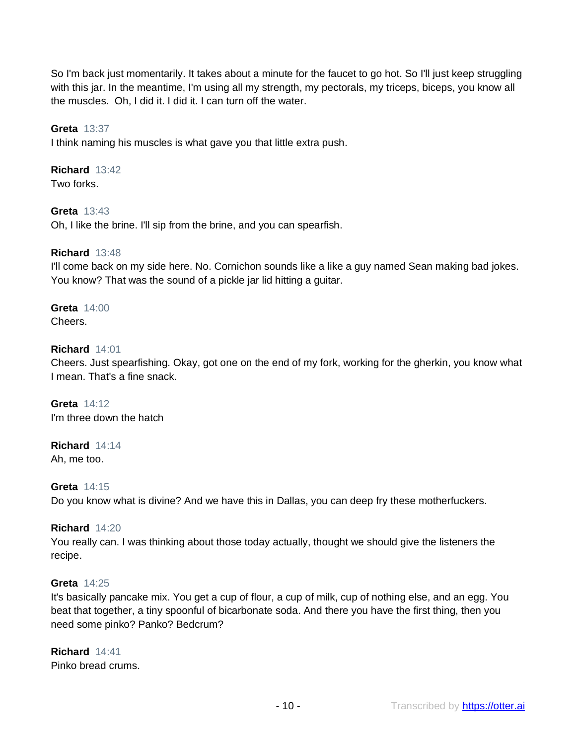So I'm back just momentarily. It takes about a minute for the faucet to go hot. So I'll just keep struggling with this jar. In the meantime, I'm using all my strength, my pectorals, my triceps, biceps, you know all the muscles. Oh, I did it. I did it. I can turn off the water.

# **Greta** 13:37

I think naming his muscles is what gave you that little extra push.

# **Richard** 13:42

Two forks.

# **Greta** 13:43

Oh, I like the brine. I'll sip from the brine, and you can spearfish.

## **Richard** 13:48

I'll come back on my side here. No. Cornichon sounds like a like a guy named Sean making bad jokes. You know? That was the sound of a pickle jar lid hitting a guitar.

#### **Greta** 14:00 Cheers.

## **Richard** 14:01

Cheers. Just spearfishing. Okay, got one on the end of my fork, working for the gherkin, you know what I mean. That's a fine snack.

**Greta** 14:12 I'm three down the hatch

# **Richard** 14:14

Ah, me too.

# **Greta** 14:15

Do you know what is divine? And we have this in Dallas, you can deep fry these motherfuckers.

## **Richard** 14:20

You really can. I was thinking about those today actually, thought we should give the listeners the recipe.

#### **Greta** 14:25

It's basically pancake mix. You get a cup of flour, a cup of milk, cup of nothing else, and an egg. You beat that together, a tiny spoonful of bicarbonate soda. And there you have the first thing, then you need some pinko? Panko? Bedcrum?

# **Richard** 14:41

Pinko bread crums.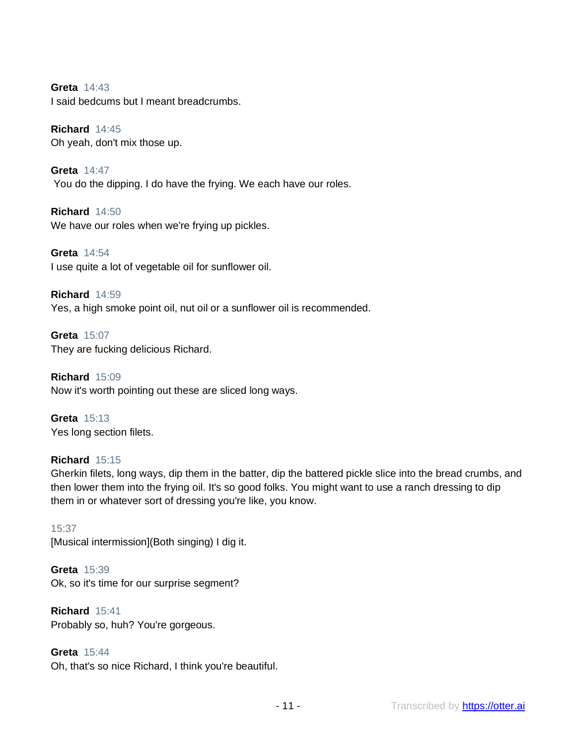**Greta** 14:43 I said bedcums but I meant breadcrumbs.

**Richard** 14:45 Oh yeah, don't mix those up.

**Greta** 14:47 You do the dipping. I do have the frying. We each have our roles.

**Richard** 14:50 We have our roles when we're frying up pickles.

**Greta** 14:54 I use quite a lot of vegetable oil for sunflower oil.

**Richard** 14:59 Yes, a high smoke point oil, nut oil or a sunflower oil is recommended.

**Greta** 15:07 They are fucking delicious Richard.

**Richard** 15:09 Now it's worth pointing out these are sliced long ways.

**Greta** 15:13 Yes long section filets.

# **Richard** 15:15

Gherkin filets, long ways, dip them in the batter, dip the battered pickle slice into the bread crumbs, and then lower them into the frying oil. It's so good folks. You might want to use a ranch dressing to dip them in or whatever sort of dressing you're like, you know.

# 15:37

[Musical intermission](Both singing) I dig it.

**Greta** 15:39 Ok, so it's time for our surprise segment?

**Richard** 15:41 Probably so, huh? You're gorgeous.

**Greta** 15:44 Oh, that's so nice Richard, I think you're beautiful.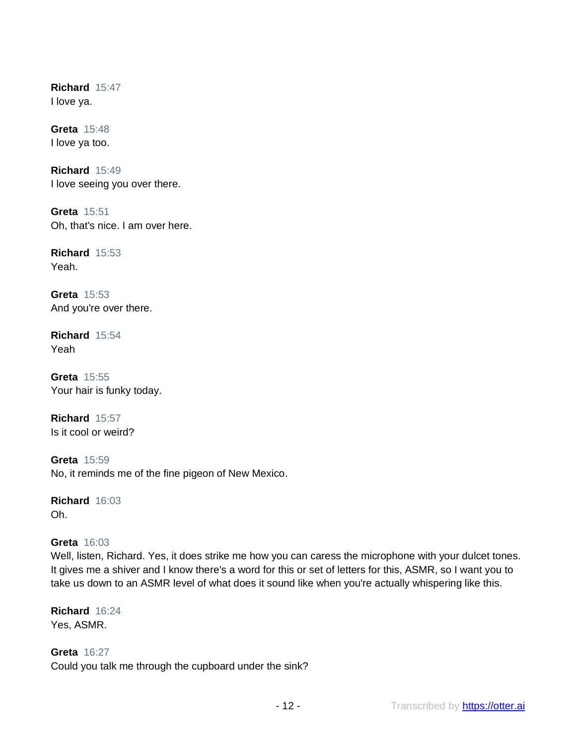**Richard** 15:47 I love ya.

**Greta** 15:48 I love ya too.

**Richard** 15:49 I love seeing you over there.

**Greta** 15:51 Oh, that's nice. I am over here.

**Richard** 15:53 Yeah.

**Greta** 15:53 And you're over there.

**Richard** 15:54 Yeah

**Greta** 15:55 Your hair is funky today.

**Richard** 15:57 Is it cool or weird?

**Greta** 15:59 No, it reminds me of the fine pigeon of New Mexico.

**Richard** 16:03 Oh.

# **Greta** 16:03

Well, listen, Richard. Yes, it does strike me how you can caress the microphone with your dulcet tones. It gives me a shiver and I know there's a word for this or set of letters for this, ASMR, so I want you to take us down to an ASMR level of what does it sound like when you're actually whispering like this.

**Richard** 16:24 Yes, ASMR.

**Greta** 16:27 Could you talk me through the cupboard under the sink?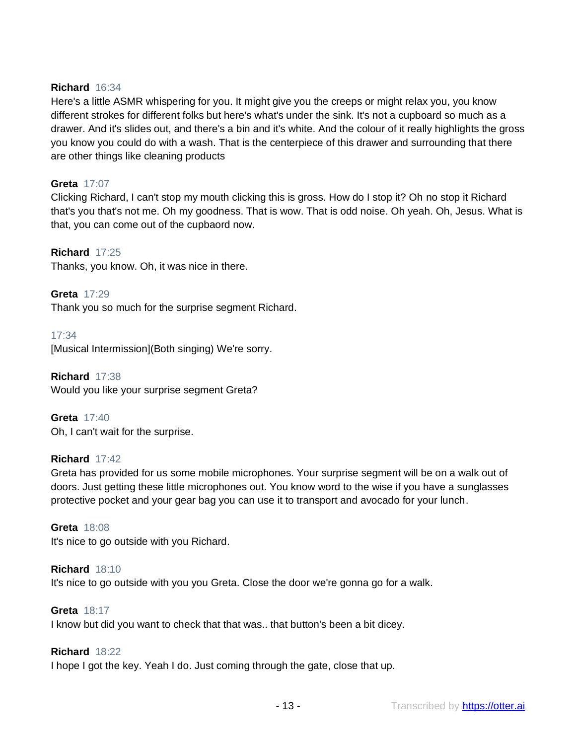# **Richard** 16:34

Here's a little ASMR whispering for you. It might give you the creeps or might relax you, you know different strokes for different folks but here's what's under the sink. It's not a cupboard so much as a drawer. And it's slides out, and there's a bin and it's white. And the colour of it really highlights the gross you know you could do with a wash. That is the centerpiece of this drawer and surrounding that there are other things like cleaning products

# **Greta** 17:07

Clicking Richard, I can't stop my mouth clicking this is gross. How do I stop it? Oh no stop it Richard that's you that's not me. Oh my goodness. That is wow. That is odd noise. Oh yeah. Oh, Jesus. What is that, you can come out of the cupbaord now.

# **Richard** 17:25

Thanks, you know. Oh, it was nice in there.

**Greta** 17:29 Thank you so much for the surprise segment Richard.

17:34 [Musical Intermission](Both singing) We're sorry.

**Richard** 17:38 Would you like your surprise segment Greta?

**Greta** 17:40 Oh, I can't wait for the surprise.

# **Richard** 17:42

Greta has provided for us some mobile microphones. Your surprise segment will be on a walk out of doors. Just getting these little microphones out. You know word to the wise if you have a sunglasses protective pocket and your gear bag you can use it to transport and avocado for your lunch.

**Greta** 18:08 It's nice to go outside with you Richard.

**Richard** 18:10 It's nice to go outside with you you Greta. Close the door we're gonna go for a walk.

**Greta** 18:17

I know but did you want to check that that was.. that button's been a bit dicey.

# **Richard** 18:22

I hope I got the key. Yeah I do. Just coming through the gate, close that up.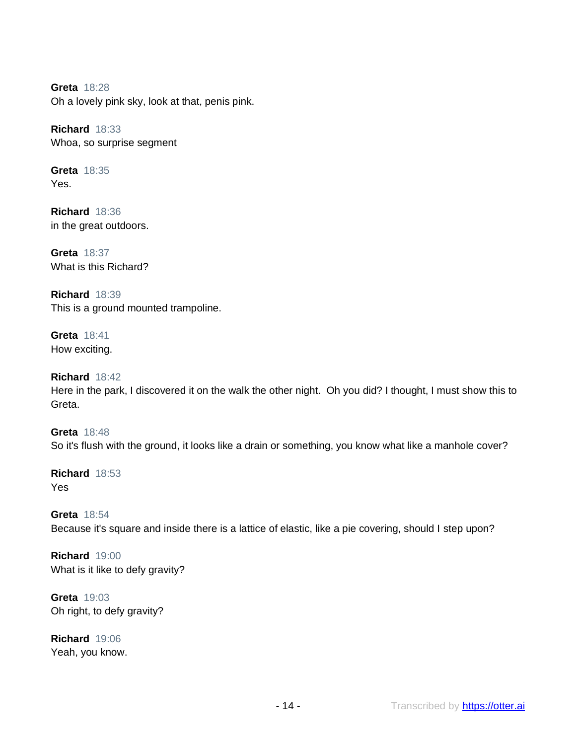**Greta** 18:28 Oh a lovely pink sky, look at that, penis pink.

**Richard** 18:33 Whoa, so surprise segment

**Greta** 18:35 Yes.

**Richard** 18:36 in the great outdoors.

**Greta** 18:37 What is this Richard?

**Richard** 18:39 This is a ground mounted trampoline.

**Greta** 18:41 How exciting.

**Richard** 18:42 Here in the park, I discovered it on the walk the other night. Oh you did? I thought, I must show this to Greta.

**Greta** 18:48 So it's flush with the ground, it looks like a drain or something, you know what like a manhole cover?

**Richard** 18:53 Yes

**Greta** 18:54 Because it's square and inside there is a lattice of elastic, like a pie covering, should I step upon?

**Richard** 19:00 What is it like to defy gravity?

**Greta** 19:03 Oh right, to defy gravity?

**Richard** 19:06 Yeah, you know.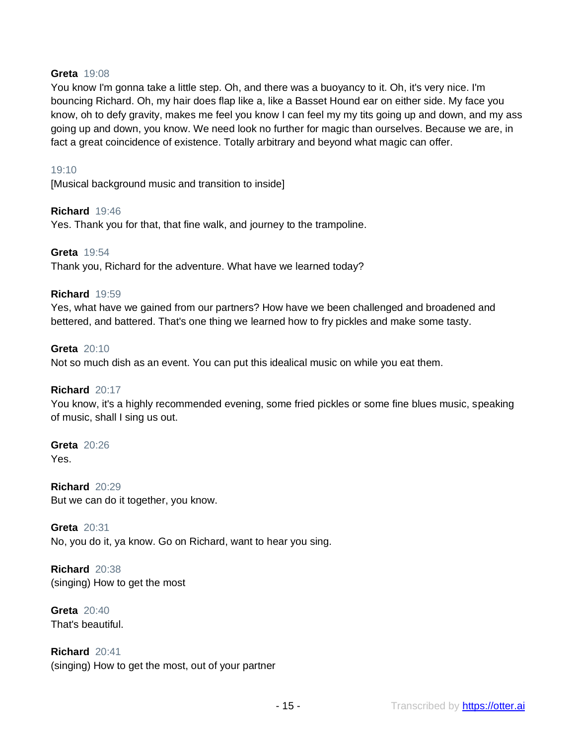# **Greta** 19:08

You know I'm gonna take a little step. Oh, and there was a buoyancy to it. Oh, it's very nice. I'm bouncing Richard. Oh, my hair does flap like a, like a Basset Hound ear on either side. My face you know, oh to defy gravity, makes me feel you know I can feel my my tits going up and down, and my ass going up and down, you know. We need look no further for magic than ourselves. Because we are, in fact a great coincidence of existence. Totally arbitrary and beyond what magic can offer.

## 19:10

[Musical background music and transition to inside]

## **Richard** 19:46

Yes. Thank you for that, that fine walk, and journey to the trampoline.

#### **Greta** 19:54

Thank you, Richard for the adventure. What have we learned today?

## **Richard** 19:59

Yes, what have we gained from our partners? How have we been challenged and broadened and bettered, and battered. That's one thing we learned how to fry pickles and make some tasty.

#### **Greta** 20:10

Not so much dish as an event. You can put this idealical music on while you eat them.

#### **Richard** 20:17

You know, it's a highly recommended evening, some fried pickles or some fine blues music, speaking of music, shall I sing us out.

**Greta** 20:26 Yes.

**Richard** 20:29 But we can do it together, you know.

**Greta** 20:31 No, you do it, ya know. Go on Richard, want to hear you sing.

**Richard** 20:38 (singing) How to get the most

**Greta** 20:40 That's beautiful.

**Richard** 20:41 (singing) How to get the most, out of your partner